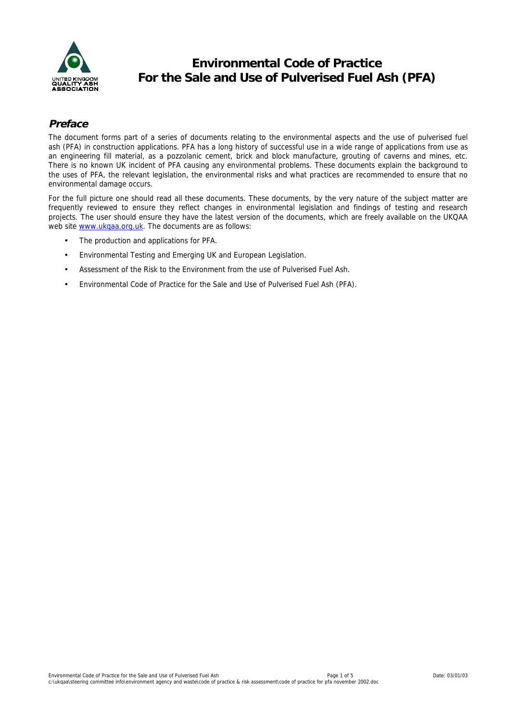

# **Environmental Code of Practice For the Sale and Use of Pulverised Fuel Ash (PFA)**

## **Preface**

The document forms part of a series of documents relating to the environmental aspects and the use of pulverised fuel ash (PFA) in construction applications. PFA has a long history of successful use in a wide range of applications from use as an engineering fill material, as a pozzolanic cement, brick and block manufacture, grouting of caverns and mines, etc. There is no known UK incident of PFA causing any environmental problems. These documents explain the background to the uses of PFA, the relevant legislation, the environmental risks and what practices are recommended to ensure that no environmental damage occurs.

For the full picture one should read all these documents. These documents, by the very nature of the subject matter are frequently reviewed to ensure they reflect changes in environmental legislation and findings of testing and research projects. The user should ensure they have the latest version of the documents, which are freely available on the UKQAA web site [www.ukqaa.org.uk.](http://www.ukqaa.org.uk/) The documents are as follows:

- The production and applications for PFA.
- Environmental Testing and Emerging UK and European Legislation.
- Assessment of the Risk to the Environment from the use of Pulverised Fuel Ash.
- Environmental Code of Practice for the Sale and Use of Pulverised Fuel Ash (PFA).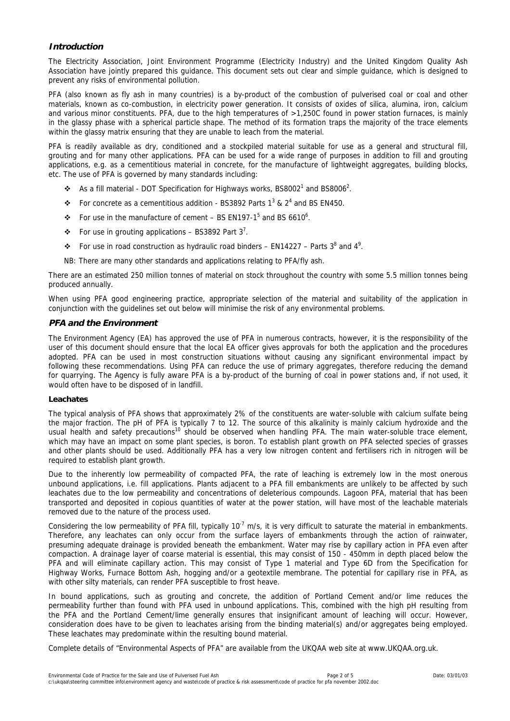## **Introduction**

The Electricity Association, Joint Environment Programme (Electricity Industry) and the United Kingdom Quality Ash Association have jointly prepared this guidance. This document sets out clear and simple guidance, which is designed to prevent any risks of environmental pollution.

PFA (also known as fly ash in many countries) is a by-product of the combustion of pulverised coal or coal and other materials, known as co-combustion, in electricity power generation. It consists of oxides of silica, alumina, iron, calcium and various minor constituents. PFA, due to the high temperatures of  $>1.250C$  found in power station furnaces, is mainly in the glassy phase with a spherical particle shape. The method of its formation traps the majority of the trace elements within the glassy matrix ensuring that they are unable to leach from the material.

PFA is readily available as dry, conditioned and a stockpiled material suitable for use as a general and structural fill, grouting and for many other applications. PFA can be used for a wide range of purposes in addition to fill and grouting applications, e.g. as a cementitious material in concrete, for the manufacture of lightweight aggregates, building blocks, etc. The use of PFA is governed by many standards including:

- $\cdot$  As a fill material DOT Specification for Highways works, BS8002<sup>[1](#page-4-0)</sup> and BS8006<sup>2</sup>.
- •For concrete as a cementitious addition BS3892 Parts  $1^3$  &  $2^4$  and BS EN450.
- $\div$ For use in the manufacture of cement BS EN197-1<sup>5</sup> and BS 6610<sup>6</sup>[.](#page-4-0)
- $\div$  For use in grouting applications BS3892 Part 3<sup>7</sup>.
- For use in road construction [a](#page-4-0)s hydraulic road binders EN14227 Parts  $3^8$  and  $4^9$ .
- NB: There are many other standards and applications relating to PFA/fly ash.

There are an estimated 250 million tonnes of material on stock throughout the country with some 5.5 million tonnes being produced annually.

When using PFA good engineering practice, appropriate selection of the material and suitability of the application in conjunction with the guidelines set out below will minimise the risk of any environmental problems.

#### **PFA and the Environment**

The Environment Agency (EA) has approved the use of PFA in numerous contracts, however, it is the responsibility of the user of this document should ensure that the local EA officer gives approvals for both the application and the procedures adopted. PFA can be used in most construction situations without causing any significant environmental impact by following these recommendations. Using PFA can reduce the use of primary aggregates, therefore reducing the demand for quarrying. The Agency is fully aware PFA is a by-product of the burning of coal in power stations and, if not used, it would often have to be disposed of in landfill.

#### **Leachates**

The typical analysis of PFA shows that approximately 2% of the constituents are water-soluble with calcium sulfate being the major fraction. The pH of PFA is typically 7 to 12. The source of this alkalinity is mainly calcium hydroxide and the usual health and safety precautions<sup>10</sup> should be observed when handling PFA. The main water-soluble trace element, which may have an impact on some plant species, is boron. To establish plant growth on PFA selected species of grasses and other plants should be used. Additionally PFA has a very low nitrogen content and fertilisers rich in nitrogen will be required to establish plant growth.

Due to the inherently low permeability of compacted PFA, the rate of leaching is extremely low in the most onerous unbound applications, i.e. fill applications. Plants adjacent to a PFA fill embankments are unlikely to be affected by such leachates due to the low permeability and concentrations of deleterious compounds. Lagoon PFA, material that has been transported and deposited in copious quantities of water at the power station, will have most of the leachable materials removed due to the nature of the process used.

Considering the low permeability of PFA fill, typically  $10^{-7}$  m/s, it is very difficult to saturate the material in embankments. Therefore, any leachates can only occur from the surface layers of embankments through the action of rainwater, presuming adequate drainage is provided beneath the embankment. Water may rise by capillary action in PFA even after compaction. A drainage layer of coarse material is essential, this may consist of 150 - 450mm in depth placed below the PFA and will eliminate capillary action. This may consist of Type 1 material and Type 6D from the Specification for Highway Works, Furnace Bottom Ash, hogging and/or a geotextile membrane. The potential for capillary rise in PFA, as with other silty materials, can render PFA susceptible to frost heave.

In bound applications, such as grouting and concrete, the addition of Portland Cement and/or lime reduces the permeability further than found with PFA used in unbound applications. This, combined with the high pH resulting from the PFA and the Portland Cement/lime generally ensures that insignificant amount of leaching will occur. However, consideration does have to be given to leachates arising from the binding material(s) and/or aggregates being employed. These leachates may predominate within the resulting bound material.

Complete details of "Environmental Aspects of PFA" are available from the UKQAA web site at www.UKQAA.org.uk.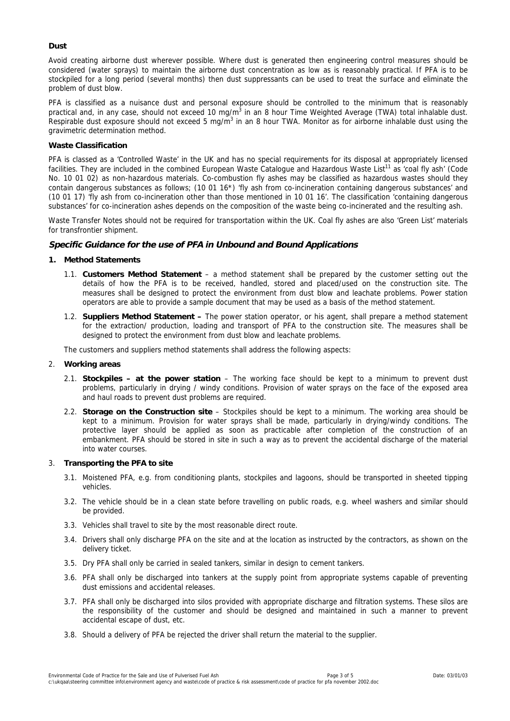#### **Dust**

Avoid creating airborne dust wherever possible. Where dust is generated then engineering control measures should be considered (water sprays) to maintain the airborne dust concentration as low as is reasonably practical. If PFA is to be stockpiled for a long period (several months) then dust suppressants can be used to treat the surface and eliminate the problem of dust blow.

PFA is classified as a nuisance dust and personal exposure should be controlled to the minimum that is reasonably practical and, in any case, should not exceed 10 mg/m<sup>3</sup> in an 8 hour Time Weighted Average (TWA) total inhalable dust. Respirable dust exposure should not exceed 5 mg/m<sup>3</sup> in an 8 hour TWA. Monitor as for airborne inhalable dust using the gravimetric determination method.

#### **Waste Classification**

PFA is classed as a 'Controlled Waste' in the UK and has no special requirements for its disposal at appropriately licensed facilities. They are included in the combined European Waste Catalogue and Hazardous Waste List<sup>11</sup> as 'coal fly ash' (Code No. 10 01 02) as non-hazardous materials. Co-combustion fly ashes may be classified as hazardous wastes should they contain dangerous substances as follows; (10 01 16\*) 'fly ash from co-incineration containing dangerous substances' and (10 01 17) 'fly ash from co-incineration other than those mentioned in 10 01 16'. The classification 'containing dangerous substances' for co-incineration ashes depends on the composition of the waste being co-incinerated and the resulting ash.

Waste Transfer Notes should not be required for transportation within the UK. Coal fly ashes are also 'Green List' materials for transfrontier shipment.

## **Specific Guidance for the use of PFA in Unbound and Bound Applications**

#### **1. Method Statements**

- 1.1. **Customers Method Statement**  a method statement shall be prepared by the customer setting out the details of how the PFA is to be received, handled, stored and placed/used on the construction site. The measures shall be designed to protect the environment from dust blow and leachate problems. Power station operators are able to provide a sample document that may be used as a basis of the method statement.
- 1.2. **Suppliers Method Statement** The power station operator, or his agent, shall prepare a method statement for the extraction/ production, loading and transport of PFA to the construction site. The measures shall be designed to protect the environment from dust blow and leachate problems.

The customers and suppliers method statements shall address the following aspects:

#### 2. **Working areas**

- 2.1. **Stockpiles at the power station**  The working face should be kept to a minimum to prevent dust problems, particularly in drying / windy conditions. Provision of water sprays on the face of the exposed area and haul roads to prevent dust problems are required.
- 2.2. **Storage on the Construction site**  Stockpiles should be kept to a minimum. The working area should be kept to a minimum. Provision for water sprays shall be made, particularly in drying/windy conditions. The protective layer should be applied as soon as practicable after completion of the construction of an embankment. PFA should be stored in site in such a way as to prevent the accidental discharge of the material into water courses.

#### 3. **Transporting the PFA to site**

- 3.1. Moistened PFA, e.g. from conditioning plants, stockpiles and lagoons, should be transported in sheeted tipping vehicles.
- 3.2. The vehicle should be in a clean state before travelling on public roads, e.g. wheel washers and similar should be provided.
- 3.3. Vehicles shall travel to site by the most reasonable direct route.
- 3.4. Drivers shall only discharge PFA on the site and at the location as instructed by the contractors, as shown on the delivery ticket.
- 3.5. Dry PFA shall only be carried in sealed tankers, similar in design to cement tankers.
- 3.6. PFA shall only be discharged into tankers at the supply point from appropriate systems capable of preventing dust emissions and accidental releases.
- 3.7. PFA shall only be discharged into silos provided with appropriate discharge and filtration systems. These silos are the responsibility of the customer and should be designed and maintained in such a manner to prevent accidental escape of dust, etc.
- 3.8. Should a delivery of PFA be rejected the driver shall return the material to the supplier.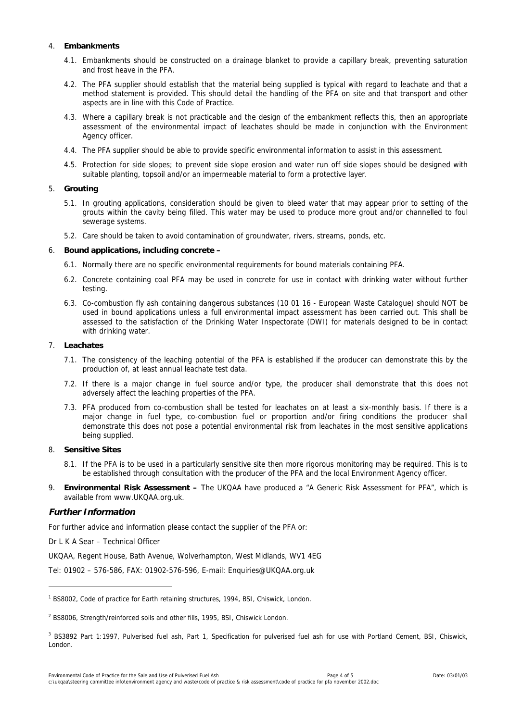### 4. **Embankments**

- 4.1. Embankments should be constructed on a drainage blanket to provide a capillary break, preventing saturation and frost heave in the PFA.
- 4.2. The PFA supplier should establish that the material being supplied is typical with regard to leachate and that a method statement is provided. This should detail the handling of the PFA on site and that transport and other aspects are in line with this Code of Practice.
- 4.3. Where a capillary break is not practicable and the design of the embankment reflects this, then an appropriate assessment of the environmental impact of leachates should be made in conjunction with the Environment Agency officer.
- 4.4. The PFA supplier should be able to provide specific environmental information to assist in this assessment.
- 4.5. Protection for side slopes; to prevent side slope erosion and water run off side slopes should be designed with suitable planting, topsoil and/or an impermeable material to form a protective layer.

#### 5. **Grouting**

- 5.1. In grouting applications, consideration should be given to bleed water that may appear prior to setting of the grouts within the cavity being filled. This water may be used to produce more grout and/or channelled to foul sewerage systems.
- 5.2. Care should be taken to avoid contamination of groundwater, rivers, streams, ponds, etc.

#### 6. **Bound applications, including concrete –**

- 6.1. Normally there are no specific environmental requirements for bound materials containing PFA.
- 6.2. Concrete containing coal PFA may be used in concrete for use in contact with drinking water without further testing.
- 6.3. Co-combustion fly ash containing dangerous substances (10 01 16 European Waste Catalogue) should NOT be used in bound applications unless a full environmental impact assessment has been carried out. This shall be assessed to the satisfaction of the Drinking Water Inspectorate (DWI) for materials designed to be in contact with drinking water.

#### 7. **Leachates**

- 7.1. The consistency of the leaching potential of the PFA is established if the producer can demonstrate this by the production of, at least annual leachate test data.
- 7.2. If there is a major change in fuel source and/or type, the producer shall demonstrate that this does not adversely affect the leaching properties of the PFA.
- 7.3. PFA produced from co-combustion shall be tested for leachates on at least a six-monthly basis. If there is a major change in fuel type, co-combustion fuel or proportion and/or firing conditions the producer shall demonstrate this does not pose a potential environmental risk from leachates in the most sensitive applications being supplied.

## 8. **Sensitive Sites**

- 8.1. If the PFA is to be used in a particularly sensitive site then more rigorous monitoring may be required. This is to be established through consultation with the producer of the PFA and the local Environment Agency officer.
- 9. **Environmental Risk Assessment –** The UKQAA have produced a "A Generic Risk Assessment for PFA", which is available from www.UKQAA.org.uk.

## **Further Information**

l

For further advice and information please contact the supplier of the PFA or:

Dr L K A Sear – Technical Officer

UKQAA, Regent House, Bath Avenue, Wolverhampton, West Midlands, WV1 4EG

Tel: 01902 – 576-586, FAX: 01902-576-596, E-mail: Enquiries@UKQAA.org.uk

<sup>&</sup>lt;sup>1</sup> BS8002, Code of practice for Earth retaining structures, 1994, BSI, Chiswick, London.

<sup>&</sup>lt;sup>2</sup> BS8006, Strength/reinforced soils and other fills, 1995, BSI, Chiswick London.

<sup>&</sup>lt;sup>3</sup> BS3892 Part 1:1997, Pulverised fuel ash, Part 1, Specification for pulverised fuel ash for use with Portland Cement, BSI, Chiswick, London.